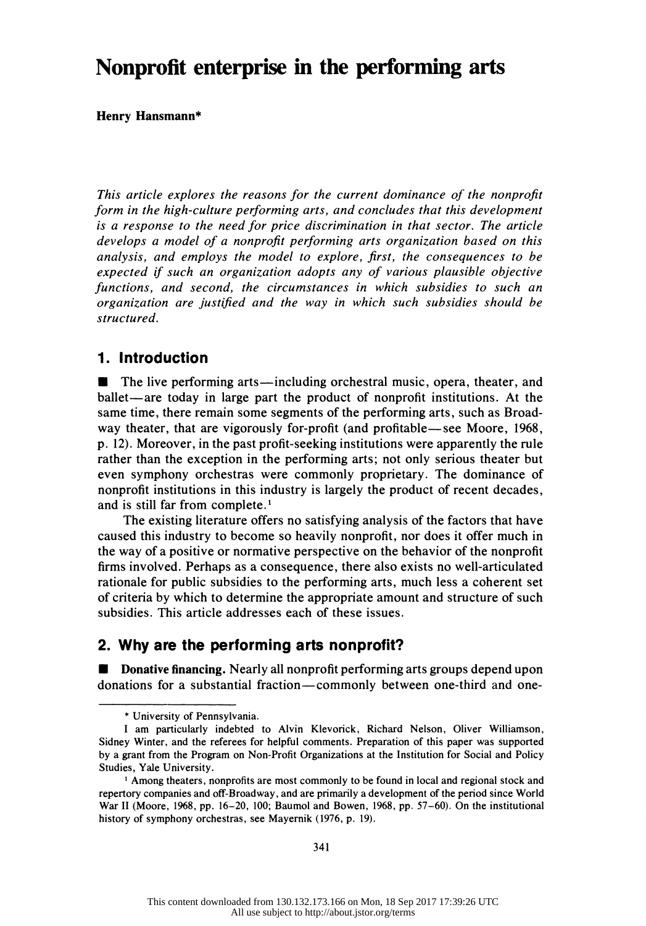# Nonprofit enterprise in the performing arts

### Henry Hansmann\*

 This article explores the reasons for the current dominance of the nonprofit form in the high-culture performing arts, and concludes that this development is a response to the need for price discrimination in that sector. The article develops a model of a nonprofit performing arts organization based on this analysis, and employs the model to explore, first, the consequences to be expected if such an organization adopts any of various plausible objective functions, and second, the circumstances in which subsidies to such an organization are justified and the way in which such subsidies should be structured.

## 1. Introduction

**The live performing arts—including orchestral music, opera, theater, and** ballet—are today in large part the product of nonprofit institutions. At the same time, there remain some segments of the performing arts, such as Broadway theater, that are vigorously for-profit (and profitable—see Moore, 1968, p. 12). Moreover, in the past profit-seeking institutions were apparently the rule rather than the exception in the performing arts; not only serious theater but even symphony orchestras were commonly proprietary. The dominance of nonprofit institutions in this industry is largely the product of recent decades, and is still far from complete.<sup>1</sup>

 The existing literature offers no satisfying analysis of the factors that have caused this industry to become so heavily nonprofit, nor does it offer much in the way of a positive or normative perspective on the behavior of the nonprofit firms involved. Perhaps as a consequence, there also exists no well-articulated rationale for public subsidies to the performing arts, much less a coherent set of criteria by which to determine the appropriate amount and structure of such subsidies. This article addresses each of these issues.

## 2. Why are the performing arts nonprofit?

**I. Donative financing.** Nearly all nonprofit performing arts groups depend upon donations for a substantial fraction—commonly between one-third and one-

 <sup>\*</sup> University of Pennsylvania.

I am particularly indebted to Alvin Klevorick, Richard Nelson, Oliver Williamson, Sidney Winter, and the referees for helpful comments. Preparation of this paper was supported by a grant from the Program on Non-Profit Organizations at the Institution for Social and Policy Studies, Yale University.

 <sup>1</sup> Among theaters, nonprofits are most commonly to be found in local and regional stock and repertory companies and off-Broadway, and are primarily a development of the period since World War II (Moore, 1968, pp. 16–20, 100; Baumol and Bowen, 1968, pp. 57–60). On the institutional history of symphony orchestras, see Mayernik (1976, p. 19).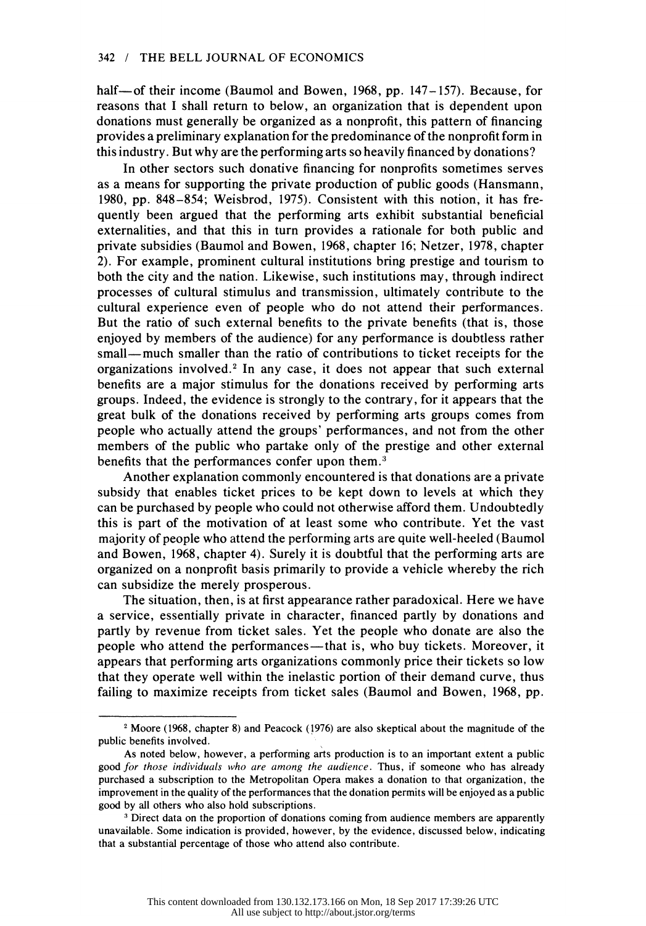half—of their income (Baumol and Bowen, 1968, pp.  $147-157$ ). Because, for reasons that I shall return to below, an organization that is dependent upon donations must generally be organized as a nonprofit, this pattern of financing provides a preliminary explanation for the predominance ofthe nonprofit form in this industry. But why are the performing arts so heavily financed by donations?

 In other sectors such donative financing for nonprofits sometimes serves as a means for supporting the private production of public goods (Hansmann, 1980, pp. 848-854; Weisbrod, 1975). Consistent with this notion, it has fre quently been argued that the performing arts exhibit substantial beneficial externalities, and that this in turn provides a rationale for both public and private subsidies (Baumol and Bowen, 1968, chapter 16; Netzer, 1978, chapter 2). For example, prominent cultural institutions bring prestige and tourism to both the city and the nation. Likewise, such institutions may, through indirect processes of cultural stimulus and transmission, ultimately contribute to the cultural experience even of people who do not attend their performances. But the ratio of such external benefits to the private benefits (that is, those enjoyed by members of the audience) for any performance is doubtless rather small—much smaller than the ratio of contributions to ticket receipts for the organizations involved.2 In any case, it does not appear that such external benefits are a major stimulus for the donations received by performing arts groups. Indeed, the evidence is strongly to the contrary, for it appears that the great bulk of the donations received by performing arts groups comes from people who actually attend the groups' performances, and not from the other members of the public who partake only of the prestige and other external benefits that the performances confer upon them.<sup>3</sup>

 Another explanation commonly encountered is that donations are a private subsidy that enables ticket prices to be kept down to levels at which they can be purchased by people who could not otherwise afford them. Undoubtedly this is part of the motivation of at least some who contribute. Yet the vast majority of people who attend the performing arts are quite well-heeled (Baumol and Bowen, 1968, chapter 4). Surely it is doubtful that the performing arts are organized on a nonprofit basis primarily to provide a vehicle whereby the rich can subsidize the merely prosperous.

 The situation, then, is at first appearance rather paradoxical. Here we have a service, essentially private in character, financed partly by donations and partly by revenue from ticket sales. Yet the people who donate are also the people who attend the performances—that is, who buy tickets. Moreover, it appears that performing arts organizations commonly price their tickets so low that they operate well within the inelastic portion of their demand curve, thus failing to maximize receipts from ticket sales (Baumol and Bowen, 1968, pp.

 <sup>2</sup> Moore (1968, chapter 8) and Peacock (1976) are also skeptical about the magnitude of the public benefits involved.

As noted below, however, a performing arts production is to an important extent a public good for those individuals who are among the audience. Thus, if someone who has already purchased a subscription to the Metropolitan Opera makes a donation to that organization, the improvement in the quality of the performances that the donation permits will be enjoyed as a public good by all others who also hold subscriptions.

<sup>&</sup>lt;sup>3</sup> Direct data on the proportion of donations coming from audience members are apparently unavailable. Some indication is provided, however, by the evidence, discussed below, indicating that a substantial percentage of those who attend also contribute.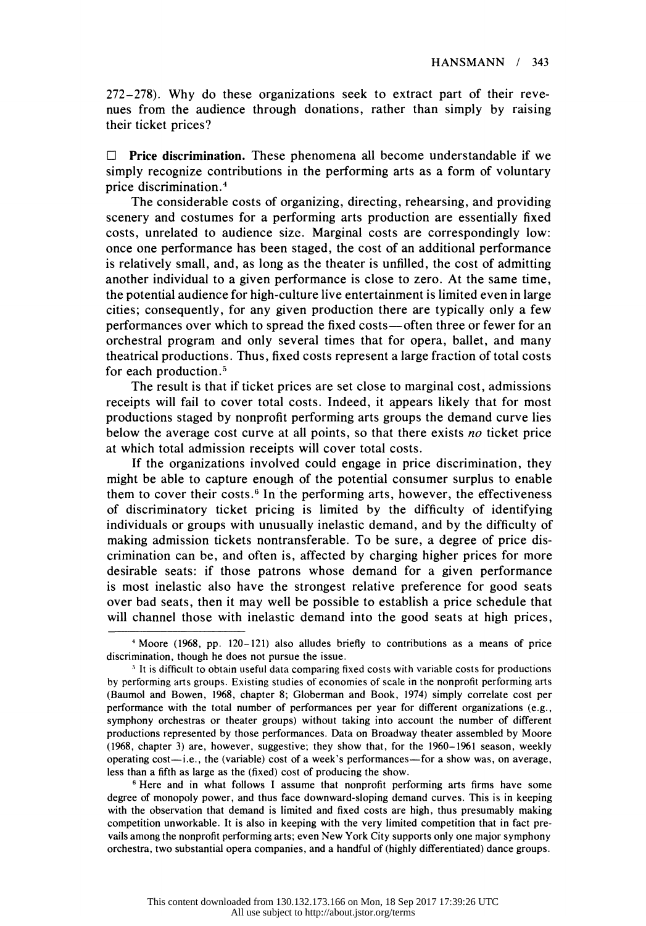$272-278$ ). Why do these organizations seek to extract part of their reve nues from the audience through donations, rather than simply by raising their ticket prices?

 $\Box$  Price discrimination. These phenomena all become understandable if we simply recognize contributions in the performing arts as a form of voluntary price discrimination.4

 The considerable costs of organizing, directing, rehearsing, and providing scenery and costumes for a performing arts production are essentially fixed costs, unrelated to audience size. Marginal costs are correspondingly low: once one performance has been staged, the cost of an additional performance is relatively small, and, as long as the theater is unfilled, the cost of admitting another individual to a given performance is close to zero. At the same time, the potential audience for high-culture live entertainment is limited even in large cities; consequently, for any given production there are typically only a few performances over which to spread the fixed costs—often three or fewer for an orchestral program and only several times that for opera, ballet, and many theatrical productions. Thus, fixed costs represent a large fraction of total costs for each production.5

 The result is that if ticket prices are set close to marginal cost, admissions receipts will fail to cover total costs. Indeed, it appears likely that for most productions staged by nonprofit performing arts groups the demand curve lies below the average cost curve at all points, so that there exists no ticket price at which total admission receipts will cover total costs.

 If the organizations involved could engage in price discrimination, they might be able to capture enough of the potential consumer surplus to enable them to cover their costs. $6$  In the performing arts, however, the effectiveness of discriminatory ticket pricing is limited by the difficulty of identifying individuals or groups with unusually inelastic demand, and by the difficulty of making admission tickets nontransferable. To be sure, a degree of price dis crimination can be, and often is, affected by charging higher prices for more desirable seats: if those patrons whose demand for a given performance is most inelastic also have the strongest relative preference for good seats over bad seats, then it may well be possible to establish a price schedule that will channel those with inelastic demand into the good seats at high prices,

<sup>6</sup> Here and in what follows I assume that nonprofit performing arts firms have some degree of monopoly power, and thus face downward-sloping demand curves. This is in keeping with the observation that demand is limited and fixed costs are high, thus presumably making competition unworkable. It is also in keeping with the very limited competition that in fact pre vails among the nonprofit performing arts; even New York City supports only one major symphony orchestra, two substantial opera companies, and a handful of (highly differentiated) dance groups.

 <sup>4</sup> Moore (1968, pp. 120-121) also alludes briefly to contributions as a means of price discrimination, though he does not pursue the issue.

<sup>&</sup>lt;sup>5</sup> It is difficult to obtain useful data comparing fixed costs with variable costs for productions by performing arts groups. Existing studies of economies of scale in the nonprofit performing arts (Baumol and Bowen, 1968, chapter 8; Globerman and Book, 1974) simply correlate cost per performance with the total number of performances per year for different organizations (e.g., symphony orchestras or theater groups) without taking into account the number of different productions represented by those performances. Data on Broadway theater assembled by Moore (1968, chapter 3) are, however, suggestive; they show that, for the 1960-1961 season, weekly operating  $cost$ —i.e., the (variable) cost of a week's performances—for a show was, on average, less than a fifth as large as the (fixed) cost of producing the show.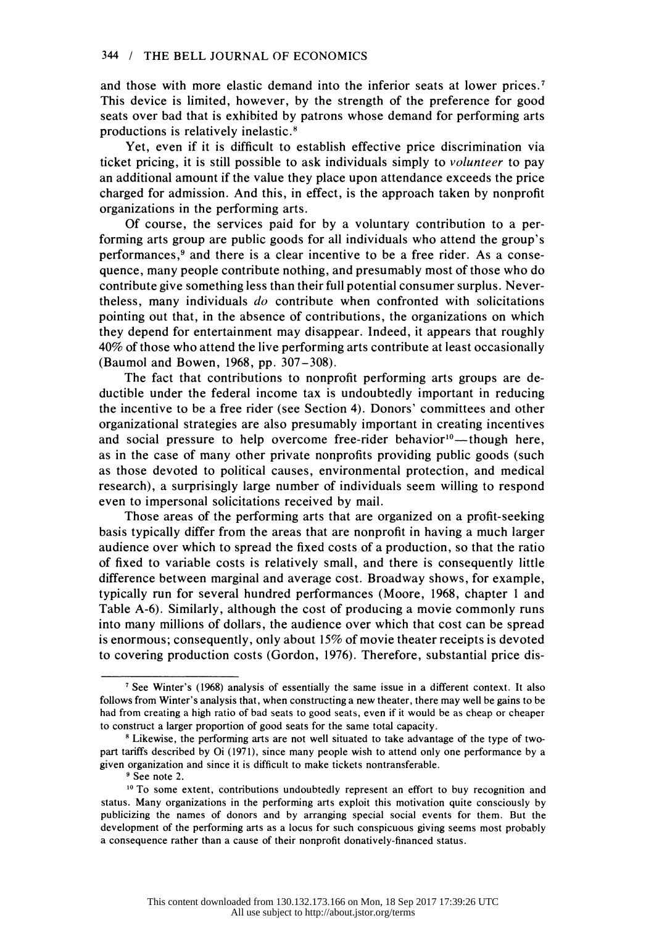and those with more elastic demand into the inferior seats at lower prices.7 This device is limited, however, by the strength of the preference for good seats over bad that is exhibited by patrons whose demand for performing arts productions is relatively inelastic.8

 Yet, even if it is difficult to establish effective price discrimination via ticket pricing, it is still possible to ask individuals simply to volunteer to pay an additional amount if the value they place upon attendance exceeds the price charged for admission. And this, in effect, is the approach taken by nonprofit organizations in the performing arts.

Of course, the services paid for by a voluntary contribution to a per forming arts group are public goods for all individuals who attend the group's performances,<sup>9</sup> and there is a clear incentive to be a free rider. As a conse quence, many people contribute nothing, and presumably most of those who do contribute give something less than their full potential consumer surplus. Never theless, many individuals do contribute when confronted with solicitations pointing out that, in the absence of contributions, the organizations on which they depend for entertainment may disappear. Indeed, it appears that roughly 40% of those who attend the live performing arts contribute at least occasionally (Baumol and Bowen, 1968, pp. 307-308).

The fact that contributions to nonprofit performing arts groups are de ductible under the federal income tax is undoubtedly important in reducing the incentive to be a free rider (see Section 4). Donors' committees and other organizational strategies are also presumably important in creating incentives and social pressure to help overcome free-rider behavior<sup>10</sup>—though here, as in the case of many other private nonprofits providing public goods (such as those devoted to political causes, environmental protection, and medical research), a surprisingly large number of individuals seem willing to respond even to impersonal solicitations received by mail.

 Those areas of the performing arts that are organized on a profit-seeking basis typically differ from the areas that are nonprofit in having a much larger audience over which to spread the fixed costs of a production, so that the ratio of fixed to variable costs is relatively small, and there is consequently little difference between marginal and average cost. Broadway shows, for example, typically run for several hundred performances (Moore, 1968, chapter 1 and Table A-6). Similarly, although the cost of producing a movie commonly runs into many millions of dollars, the audience over which that cost can be spread is enormous; consequently, only about 15% of movie theater receipts is devoted to covering production costs (Gordon, 1976). Therefore, substantial price dis-

 <sup>7</sup> See Winter's (1968) analysis of essentially the same issue in a different context. It also follows from Winter's analysis that, when constructing a new theater, there may well be gains to be had from creating a high ratio of bad seats to good seats, even if it would be as cheap or cheaper to construct a larger proportion of good seats for the same total capacity.

<sup>&</sup>lt;sup>8</sup> Likewise, the performing arts are not well situated to take advantage of the type of two part tariffs described by Oi (1971), since many people wish to attend only one performance by a given organization and since it is difficult to make tickets nontransferable.

 <sup>9</sup> See note 2.

<sup>&</sup>lt;sup>10</sup> To some extent, contributions undoubtedly represent an effort to buy recognition and status. Many organizations in the performing arts exploit this motivation quite consciously by publicizing the names of donors and by arranging special social events for them. But the development of the performing arts as a locus for such conspicuous giving seems most probably a consequence rather than a cause of their nonprofit donatively-financed status.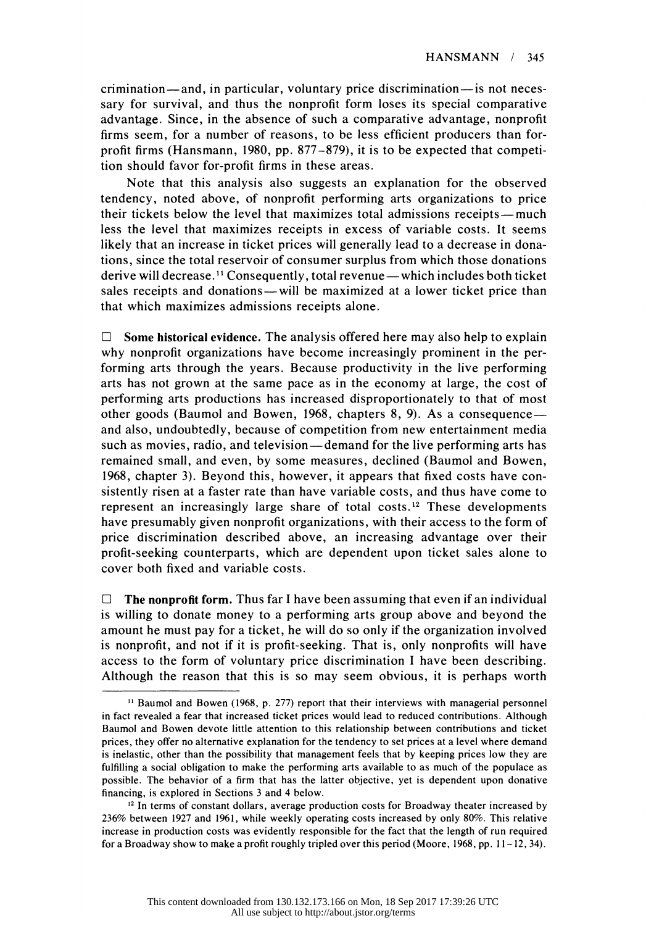crimination—and, in particular, voluntary price discrimination—is not neces sary for survival, and thus the nonprofit form loses its special comparative advantage. Since, in the absence of such a comparative advantage, nonprofit firms seem, for a number of reasons, to be less efficient producers than for profit firms (Hansmann, 1980, pp.  $877-879$ ), it is to be expected that competition should favor for-profit firms in these areas.

 Note that this analysis also suggests an explanation for the observed tendency, noted above, of nonprofit performing arts organizations to price their tickets below the level that maximizes total admissions receipts — much less the level that maximizes receipts in excess of variable costs. It seems likely that an increase in ticket prices will generally lead to a decrease in dona tions, since the total reservoir of consumer surplus from which those donations derive will decrease.<sup>11</sup> Consequently, total revenue - which includes both ticket sales receipts and donations - will be maximized at a lower ticket price than that which maximizes admissions receipts alone.

 $\Box$  Some historical evidence. The analysis offered here may also help to explain why nonprofit organizations have become increasingly prominent in the per forming arts through the years. Because productivity in the live performing arts has not grown at the same pace as in the economy at large, the cost of performing arts productions has increased disproportionately to that of most other goods (Baumol and Bowen, 1968, chapters 8, 9). As a consequence and also, undoubtedly, because of competition from new entertainment media such as movies, radio, and television—demand for the live performing arts has remained small, and even, by some measures, declined (Baumol and Bowen, 1968, chapter 3). Beyond this, however, it appears that fixed costs have con? sistently risen at a faster rate than have variable costs, and thus have come to represent an increasingly large share of total costs.12 These developments have presumably given nonprofit organizations, with their access to the form of price discrimination described above, an increasing advantage over their profit-seeking counterparts, which are dependent upon ticket sales alone to cover both fixed and variable costs.

 $\Box$  The nonprofit form. Thus far I have been assuming that even if an individual is willing to donate money to a performing arts group above and beyond the amount he must pay for a ticket, he will do so only if the organization involved is nonprofit, and not if it is profit-seeking. That is, only nonprofits will have access to the form of voluntary price discrimination I have been describing. Although the reason that this is so may seem obvious, it is perhaps worth

<sup>&</sup>lt;sup>11</sup> Baumol and Bowen (1968, p. 277) report that their interviews with managerial personnel in fact revealed a fear that increased ticket prices would lead to reduced contributions. Although Baumol and Bowen devote little attention to this relationship between contributions and ticket prices, they offer no alternative explanation for the tendency to set prices at a level where demand is inelastic, other than the possibility that management feels that by keeping prices low they are fulfilling a social obligation to make the performing arts available to as much of the populace as possible. The behavior of a firm that has the latter objective, yet is dependent upon donative financing, is explored in Sections 3 and 4 below.

 $12$  In terms of constant dollars, average production costs for Broadway theater increased by 236% between 1927 and 1961, while weekly operating costs increased by only 80%. This relative increase in production costs was evidently responsible for the fact that the length of run required for a Broadway show to make a profit roughly tripled over this period (Moore, 1968, pp. 11 -12, 34).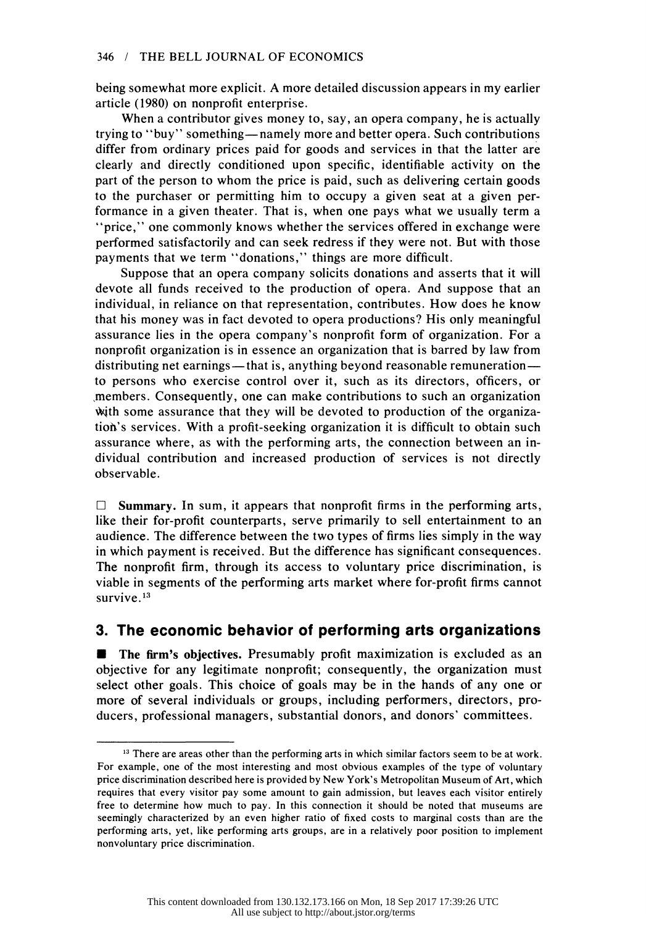being somewhat more explicit. A more detailed discussion appears in my earlier article (1980) on nonprofit enterprise.

When a contributor gives money to, say, an opera company, he is actually trying to "buy" something—namely more and better opera. Such contributions differ from ordinary prices paid for goods and services in that the latter are clearly and directly conditioned upon specific, identifiable activity on the part of the person to whom the price is paid, such as delivering certain goods to the purchaser or permitting him to occupy a given seat at a given per formance in a given theater. That is, when one pays what we usually term a ''price," one commonly knows whether the services offered in exchange were performed satisfactorily and can seek redress if they were not. But with those payments that we term "donations," things are more difficult.

 Suppose that an opera company solicits donations and asserts that it will devote all funds received to the production of opera. And suppose that an individual, in reliance on that representation, contributes. How does he know that his money was in fact devoted to opera productions? His only meaningful assurance lies in the opera company's nonprofit form of organization. For a nonprofit organization is in essence an organization that is barred by law from distributing net earnings — that is, anything beyond reasonable remuneration to persons who exercise control over it, such as its directors, officers, or .members. Consequently, one can make contributions to such an organization with some assurance that they will be devoted to production of the organiza tioh's services. With a profit-seeking organization it is difficult to obtain such assurance where, as with the performing arts, the connection between an in dividual contribution and increased production of services is not directly observable.

 $\Box$  Summary. In sum, it appears that nonprofit firms in the performing arts, like their for-profit counterparts, serve primarily to sell entertainment to an audience. The difference between the two types of firms lies simply in the way in which payment is received. But the difference has significant consequences. The nonprofit firm, through its access to voluntary price discrimination, is viable in segments of the performing arts market where for-profit firms cannot survive.<sup>13</sup>

## 3. The economic behavior of performing arts organizations

The firm's objectives. Presumably profit maximization is excluded as an objective for any legitimate nonprofit; consequently, the organization must select other goals. This choice of goals may be in the hands of any one or more of several individuals or groups, including performers, directors, producers, professional managers, substantial donors, and donors' committees.

<sup>&</sup>lt;sup>13</sup> There are areas other than the performing arts in which similar factors seem to be at work. For example, one of the most interesting and most obvious examples of the type of voluntary price discrimination described here is provided by New York's Metropolitan Museum of Art, which requires that every visitor pay some amount to gain admission, but leaves each visitor entirely free to determine how much to pay. In this connection it should be noted that museums are seemingly characterized by an even higher ratio of fixed costs to marginal costs than are the performing arts, yet, like performing arts groups, are in a relatively poor position to implement nonvoluntary price discrimination.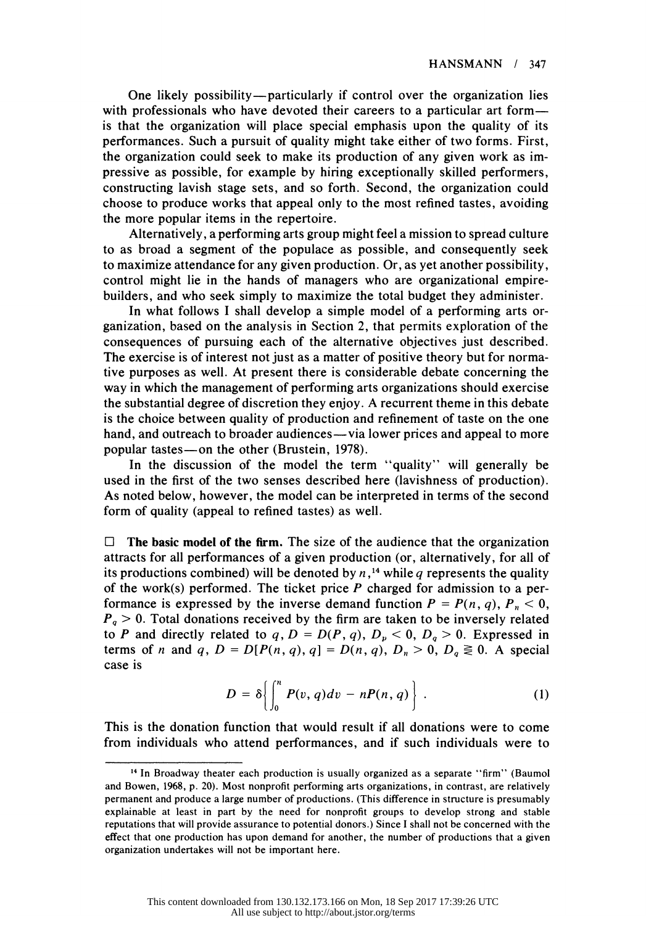One likely possibility—particularly if control over the organization lies with professionals who have devoted their careers to a particular art form is that the organization will place special emphasis upon the quality of its performances. Such a pursuit of quality might take either of two forms. First, the organization could seek to make its production of any given work as im pressive as possible, for example by hiring exceptionally skilled performers, constructing lavish stage sets, and so forth. Second, the organization could choose to produce works that appeal only to the most refined tastes, avoiding the more popular items in the repertoire.

 Alternatively, a performing arts group might feel a mission to spread culture to as broad a segment of the populace as possible, and consequently seek to maximize attendance for any given production. Or, as yet another possibility, control might lie in the hands of managers who are organizational empire builders, and who seek simply to maximize the total budget they administer.

In what follows I shall develop a simple model of a performing arts organization, based on the analysis in Section 2, that permits exploration of the consequences of pursuing each of the alternative objectives just described. The exercise is of interest not just as a matter of positive theory but for norma tive purposes as well. At present there is considerable debate concerning the way in which the management of performing arts organizations should exercise the substantial degree of discretion they enjoy. A recurrent theme in this debate is the choice between quality of production and refinement of taste on the one hand, and outreach to broader audiences—via lower prices and appeal to more popular tastes—on the other (Brustein, 1978).

 In the discussion of the model the term "quality" will generally be used in the first of the two senses described here (lavishness of production). As noted below, however, the model can be interpreted in terms of the second form of quality (appeal to refined tastes) as well.

 $\Box$  The basic model of the firm. The size of the audience that the organization attracts for all performances of a given production (or, alternatively, for all of its productions combined) will be denoted by  $n<sub>1</sub><sup>14</sup>$  while q represents the quality of the work(s) performed. The ticket price  $P$  charged for admission to a performance is expressed by the inverse demand function  $P = P(n, q)$ ,  $P_n < 0$ ,  $P_q > 0$ . Total donations received by the firm are taken to be inversely related to P and directly related to q,  $D = D(P, q)$ ,  $D_p < 0$ ,  $D_q > 0$ . Expressed in terms of n and q,  $D = D[P(n, q), q] = D(n, q), D_n > 0, D_q \ge 0$ . A special case is

$$
D = \delta \left\{ \int_0^n P(v, q) dv - nP(n, q) \right\}.
$$
 (1)

 This is the donation function that would result if all donations were to come from individuals who attend performances, and if such individuals were to

 <sup>14</sup> In Broadway theater each production is usually organized as a separate "firm" (Baumol and Bowen, 1968, p. 20). Most nonprofit performing arts organizations, in contrast, are relatively permanent and produce a large number of productions. (This difference in structure is presumably explainable at least in part by the need for nonprofit groups to develop strong and stable reputations that will provide assurance to potential donors.) Since I shall not be concerned with the effect that one production has upon demand for another, the number of productions that a given organization undertakes will not be important here.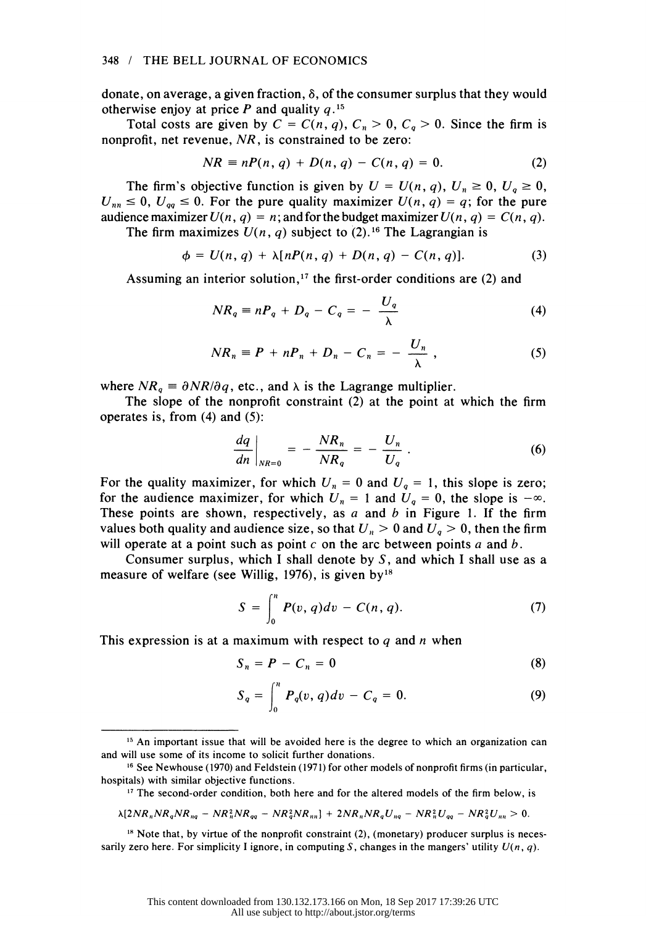donate, on average, a given fraction,  $\delta$ , of the consumer surplus that they would otherwise enjoy at price P and quality  $q<sup>15</sup>$ .

Total costs are given by  $C = C(n, q)$ ,  $C_n > 0$ ,  $C_q > 0$ . Since the firm is nonprofit, net revenue, NR, is constrained to be zero:

$$
NR = nP(n, q) + D(n, q) - C(n, q) = 0.
$$
 (2)

The firm's objective function is given by  $U = U(n, q)$ ,  $U_n \ge 0$ ,  $U_q \ge 0$ ,  $U_{nn} \le 0$ ,  $U_{qq} \le 0$ . For the pure quality maximizer  $U(n, q) = q$ ; for the pure audience maximizer  $U(n, q) = n$ ; and for the budget maximizer  $U(n, q) = C(n, q)$ .

The firm maximizes  $U(n, q)$  subject to (2).<sup>16</sup> The Lagrangian is

$$
\phi = U(n, q) + \lambda [nP(n, q) + D(n, q) - C(n, q)]. \tag{3}
$$

Assuming an interior solution,<sup>17</sup> the first-order conditions are  $(2)$  and

$$
NR_q \equiv nP_q + D_q - C_q = -\frac{U_q}{\lambda} \tag{4}
$$

$$
NR_n \equiv P + nP_n + D_n - C_n = -\frac{U_n}{\lambda}, \qquad (5)
$$

where  $NR_q \equiv \partial NR/\partial q$ , etc., and  $\lambda$  is the Lagrange multiplier.

 The slope of the nonprofit constraint (2) at the point at which the firm operates is, from (4) and (5):

$$
\left. \frac{dq}{dn} \right|_{NR=0} = -\frac{NR_n}{NR_q} = -\frac{U_n}{U_q} \ . \tag{6}
$$

For the quality maximizer, for which  $U_n = 0$  and  $U_q = 1$ , this slope is zero; for the audience maximizer, for which  $U_n = 1$  and  $U_q = 0$ , the slope is  $-\infty$ . These points are shown, respectively, as  $a$  and  $b$  in Figure 1. If the firm values both quality and audience size, so that  $U_n > 0$  and  $U_q > 0$ , then the firm will operate at a point such as point  $c$  on the arc between points  $a$  and  $b$ .

 Consumer surplus, which I shall denote by S, and which I shall use as a measure of welfare (see Willig, 1976), is given by<sup>18</sup>

$$
S = \int_0^n P(v, q) dv - C(n, q). \tag{7}
$$

This expression is at a maximum with respect to  $q$  and  $n$  when

$$
S_n = P - C_n = 0 \tag{8}
$$

$$
S_q = \int_0^u P_q(v, q) dv - C_q = 0.
$$
 (9)

$$
\lambda[2NR_{n}NR_{q}NR_{nq} - NR_{n}^{2}NR_{qq} - NR_{q}^{2}NR_{nn}] + 2NR_{n}NR_{q}U_{nq} - NR_{n}^{2}U_{qq} - NR_{q}^{2}U_{nn} > 0.
$$

 $18$  Note that, by virtue of the nonprofit constraint (2), (monetary) producer surplus is necessarily zero here. For simplicity I ignore, in computing S, changes in the mangers' utility  $U(n, q)$ .

<sup>&</sup>lt;sup>15</sup> An important issue that will be avoided here is the degree to which an organization can and will use some of its income to solicit further donations.

 <sup>16</sup> See Newhouse (1970) and Feldstein (1971) for other models of nonprofit firms (in particular, hospitals) with similar objective functions.

<sup>&</sup>lt;sup>17</sup> The second-order condition, both here and for the altered models of the firm below, is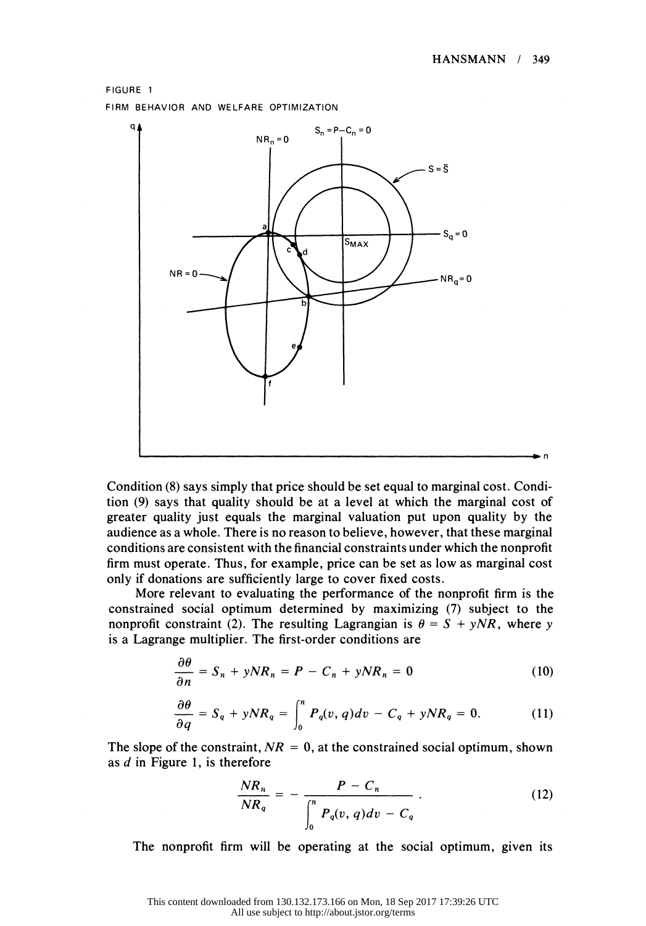```
 FIGURE 1
FIRM BEHAVIOR AND WELFARE OPTIMIZATION
```


 Condition (8) says simply that price should be set equal to marginal cost. Condi? tion (9) says that quality should be at a level at which the marginal cost of greater quality just equals the marginal valuation put upon quality by the audience as a whole. There is no reason to believe, however, that these marginal conditions are consistent with the financial constraints under which the nonprofit firm must operate. Thus, for example, price can be set as low as marginal cost only if donations are sufficiently large to cover fixed costs.

 More relevant to evaluating the performance of the nonprofit firm is the constrained social optimum determined by maximizing (7) subject to the nonprofit constraint (2). The resulting Lagrangian is  $\theta = S + yNR$ , where y is a Lagrange multiplier. The first-order conditions are

$$
\frac{\partial \theta}{\partial n} = S_n + yNR_n = P - C_n + yNR_n = 0 \tag{10}
$$

$$
\frac{\partial \theta}{\partial q} = S_q + yNR_q = \int_0^n P_q(v, q) dv - C_q + yNR_q = 0. \tag{11}
$$

The slope of the constraint,  $NR = 0$ , at the constrained social optimum, shown<br>as d in Figure 1 is therefore The slope of the constraint,  $NR = 0$ , at the constrained social optimum, shown as d in Figure 1, is therefore

$$
\frac{NR_n}{NR_q} = -\frac{P - C_n}{\int_0^n P_q(v, q) dv - C_q}.
$$
 (12)

The nonprofit firm will be operating at the social optimum, given its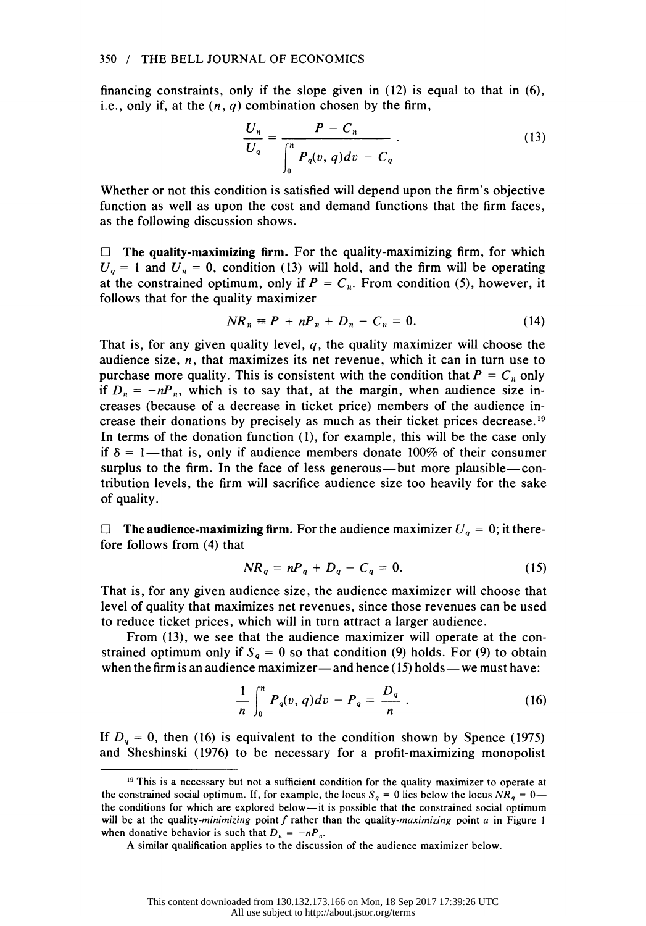financing constraints, only if the slope given in  $(12)$  is equal to that in  $(6)$ , i.e., only if, at the  $(n, q)$  combination chosen by the firm,

$$
\frac{U_n}{U_q} = \frac{P - C_n}{\int_0^n P_q(v, q) dv - C_q}.
$$
\n(13)

 Whether or not this condition is satisfied will depend upon the firm's objective function as well as upon the cost and demand functions that the firm faces, as the following discussion shows.

 $\Box$  The quality-maximizing firm. For the quality-maximizing firm, for which  $U_q = 1$  and  $U_q = 0$ , condition (13) will hold, and the firm will be operating at the constrained optimum, only if  $P = C_n$ . From condition (5), however, it follows that for the quality maximizer

$$
NR_n \equiv P + nP_n + D_n - C_n = 0. \tag{14}
$$

That is, for any given quality level,  $q$ , the quality maximizer will choose the audience size,  $n$ , that maximizes its net revenue, which it can in turn use to purchase more quality. This is consistent with the condition that  $P = C_n$  only if  $D_n = -nP_n$ , which is to say that, at the margin, when audience size increases (because of a decrease in ticket price) members of the audience in crease their donations by precisely as much as their ticket prices decrease.19 In terms of the donation function (1), for example, this will be the case only if  $\delta = 1$ —that is, only if audience members donate 100% of their consumer surplus to the firm. In the face of less generous—but more plausible—con tribution levels, the firm will sacrifice audience size too heavily for the sake of quality.

 $\Box$  The audience-maximizing firm. For the audience maximizer  $U_q = 0$ ; it therefore follows from (4) that

$$
NR_q = nP_q + D_q - C_q = 0. \tag{15}
$$

 That is, for any given audience size, the audience maximizer will choose that level of quality that maximizes net revenues, since those revenues can be used to reduce ticket prices, which will in turn attract a larger audience.

From (13), we see that the audience maximizer will operate at the constrained optimum only if  $S<sub>a</sub> = 0$  so that condition (9) holds. For (9) to obtain when the firm is an audience maximizer—and hence (15) holds—we must have:<br> $\frac{1}{m} \int_{0}^{n} P_o(v, q) dv - P_o = \frac{D_q}{n}$ . (16)

$$
\frac{1}{n}\int_{0}^{n}P_{q}(v,q)dv-P_{q}=\frac{D_{q}}{n}.
$$
 (16)

If  $D_q = 0$ , then (16) is equivalent to the condition shown by Spence (1975) and Sheshinski (1976) to be necessary for a profit-maximizing monopolist

<sup>&</sup>lt;sup>19</sup> This is a necessary but not a sufficient condition for the quality maximizer to operate at the constrained social optimum. If, for example, the locus  $S_q = 0$  lies below the locus  $NR_q = 0$ . the conditions for which are explored below-it is possible that the constrained social optimum will be at the quality-minimizing point f rather than the quality-maximizing point a in Figure 1 when donative behavior is such that  $D_n = -nP_n$ .

A similar qualification applies to the discussion of the audience maximizer below.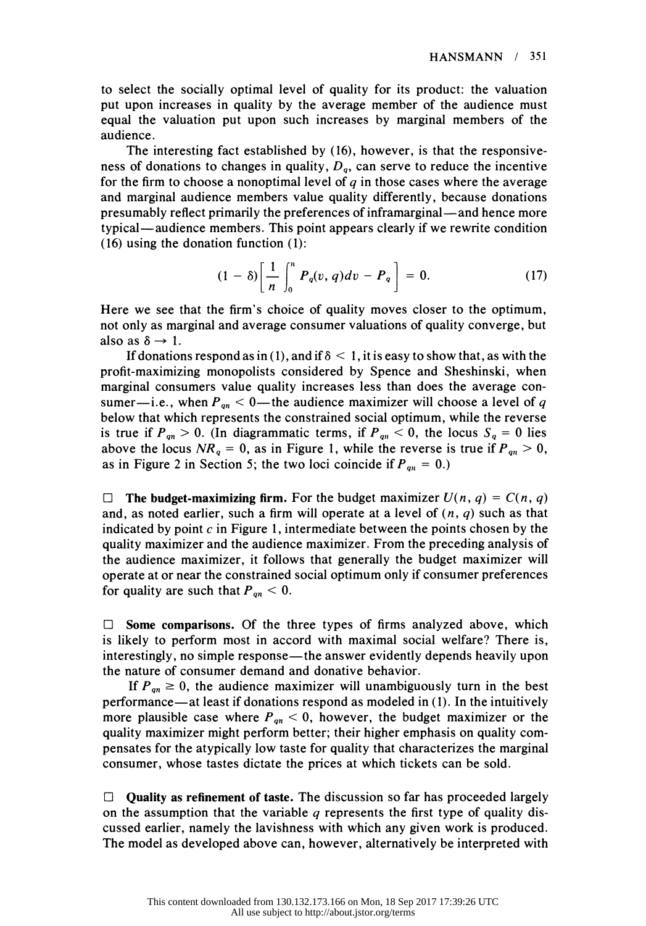to select the socially optimal level of quality for its product: the valuation put upon increases in quality by the average member of the audience must equal the valuation put upon such increases by marginal members of the audience.

The interesting fact established by  $(16)$ , however, is that the responsiveness of donations to changes in quality,  $D<sub>a</sub>$ , can serve to reduce the incentive for the firm to choose a nonoptimal level of  $q$  in those cases where the average and marginal audience members value quality differently, because donations presumably reflect primarily the preferences of inframarginal—and hence more typical—audience members. This point appears clearly if we rewrite condition (16) using the donation function (1):

$$
(1 - \delta) \left[ \frac{1}{n} \int_0^n P_q(v, q) dv - P_q \right] = 0.
$$
 (17)

Here we see that the firm's choice of quality moves closer to the optimum,<br>not only as marginal and average consumer valuations of quality converge, but Here we see that the firm's choice of quality moves closer to the optimum,<br>not only as marginal and average consumer valuations of quality converge, but<br>also as  $\delta \rightarrow 1$ also as  $\delta \rightarrow 1$ .

If donations respond as in (1), and if  $\delta$  < 1, it is easy to show that, as with the profit-maximizing monopolists considered by Spence and Sheshinski, when marginal consumers value quality increases less than does the average consumer—i.e., when  $P_{on} < 0$ —the audience maximizer will choose a level of q below that which represents the constrained social optimum, while the reverse is true if  $P_{qn} > 0$ . (In diagrammatic terms, if  $P_{qn} < 0$ , the locus  $S_q = 0$  lies above the locus  $NR_q = 0$ , as in Figure 1, while the reverse is true if  $P_{qn} > 0$ , as in Figure 2 in Section 5; the two loci coincide if  $P_{qn} = 0.$ )

 $\Box$  The budget-maximizing firm. For the budget maximizer  $U(n, q) = C(n, q)$ and, as noted earlier, such a firm will operate at a level of  $(n, q)$  such as that indicated by point  $c$  in Figure 1, intermediate between the points chosen by the quality maximizer and the audience maximizer. From the preceding analysis of the audience maximizer, it follows that generally the budget maximizer will operate at or near the constrained social optimum only if consumer preferences for quality are such that  $P_{qn} < 0$ .

 $\Box$  Some comparisons. Of the three types of firms analyzed above, which is likely to perform most in accord with maximal social welfare? There is, interestingly, no simple response—the answer evidently depends heavily upon the nature of consumer demand and donative behavior.

If  $P_{qn} \ge 0$ , the audience maximizer will unambiguously turn in the best performance—at least if donations respond as modeled in  $(1)$ . In the intuitively more plausible case where  $P_{qn}$  < 0, however, the budget maximizer or the quality maximizer might perform better; their higher emphasis on quality com pensates for the atypically low taste for quality that characterizes the marginal consumer, whose tastes dictate the prices at which tickets can be sold.

 $\Box$  Quality as refinement of taste. The discussion so far has proceeded largely on the assumption that the variable  $q$  represents the first type of quality dis cussed earlier, namely the lavishness with which any given work is produced. The model as developed above can, however, alternatively be interpreted with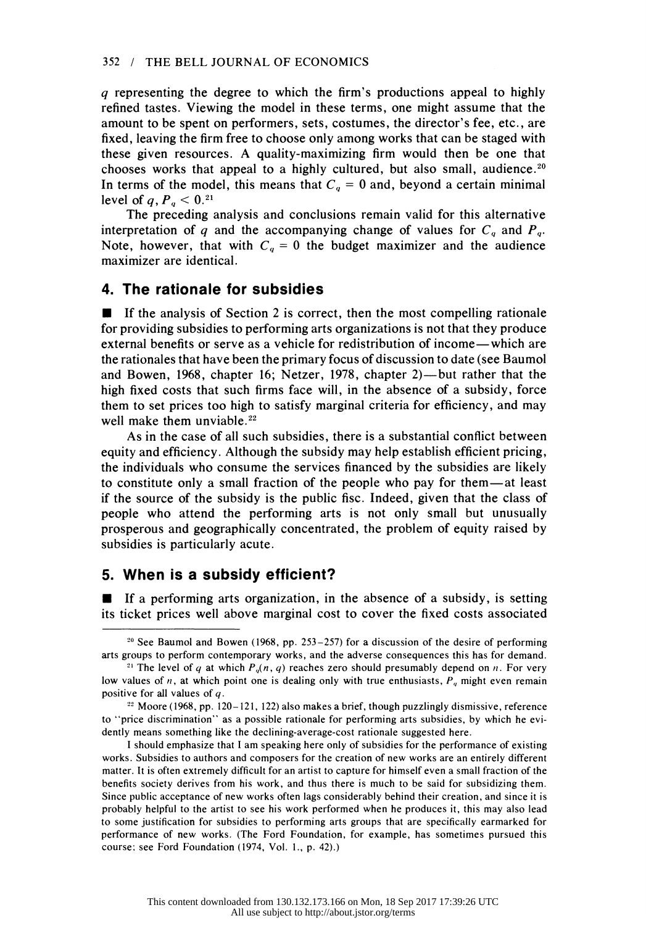q representing the degree to which the firm's productions appeal to highly refined tastes. Viewing the model in these terms, one might assume that the amount to be spent on performers, sets, costumes, the director's fee, etc, are fixed, leaving the firm free to choose only among works that can be staged with these given resources. A quality-maximizing firm would then be one that chooses works that appeal to a highly cultured, but also small, audience.<sup>20</sup> In terms of the model, this means that  $C_q = 0$  and, beyond a certain minimal level of q,  $P_q < 0.21$ 

 The preceding analysis and conclusions remain valid for this alternative interpretation of q and the accompanying change of values for  $C_q$  and  $P_q$ . Note, however, that with  $C_q = 0$  the budget maximizer and the audience maximizer are identical.

## 4. The rationale for subsidies

**If** If the analysis of Section 2 is correct, then the most compelling rationale for providing subsidies to performing arts organizations is not that they produce external benefits or serve as a vehicle for redistribution of income—which are the rationales that have been the primary focus of discussion to date (see Baumol and Bowen, 1968, chapter 16; Netzer, 1978, chapter  $2$ )—but rather that the high fixed costs that such firms face will, in the absence of a subsidy, force them to set prices too high to satisfy marginal criteria for efficiency, and may well make them unviable. $22$ 

 As in the case of all such subsidies, there is a substantial conflict between equity and efficiency. Although the subsidy may help establish efficient pricing, the individuals who consume the services financed by the subsidies are likely to constitute only a small fraction of the people who pay for them—at least if the source of the subsidy is the public fisc. Indeed, given that the class of people who attend the performing arts is not only small but unusually prosperous and geographically concentrated, the problem of equity raised by subsidies is particularly acute.

## 5. When is a subsidy efficient?

**If** a performing arts organization, in the absence of a subsidy, is setting its ticket prices well above marginal cost to cover the fixed costs associated

<sup>&</sup>lt;sup>20</sup> See Baumol and Bowen (1968, pp. 253–257) for a discussion of the desire of performing arts groups to perform contemporary works, and the adverse consequences this has for demand.

<sup>&</sup>lt;sup>21</sup> The level of q at which  $P_q(n, q)$  reaches zero should presumably depend on n. For very low values of n, at which point one is dealing only with true enthusiasts,  $P_q$  might even remain positive for all values of q.

 $22$  Moore (1968, pp. 120-121, 122) also makes a brief, though puzzlingly dismissive, reference to "price discrimination" as a possible rationale for performing arts subsidies, by which he evidently means something like the declining-average-cost rationale suggested here.

I should emphasize that I am speaking here only of subsidies for the performance of existing works. Subsidies to authors and composers for the creation of new works are an entirely different matter. It is often extremely difficult for an artist to capture for himself even a small fraction of the benefits society derives from his work, and thus there is much to be said for subsidizing them. Since public acceptance of new works often lags considerably behind their creation, and since it is probably helpful to the artist to see his work performed when he produces it, this may also lead to some justification for subsidies to performing arts groups that are specifically earmarked for performance of new works. (The Ford Foundation, for example, has sometimes pursued this course; see Ford Foundation (1974, Vol. 1., p. 42).)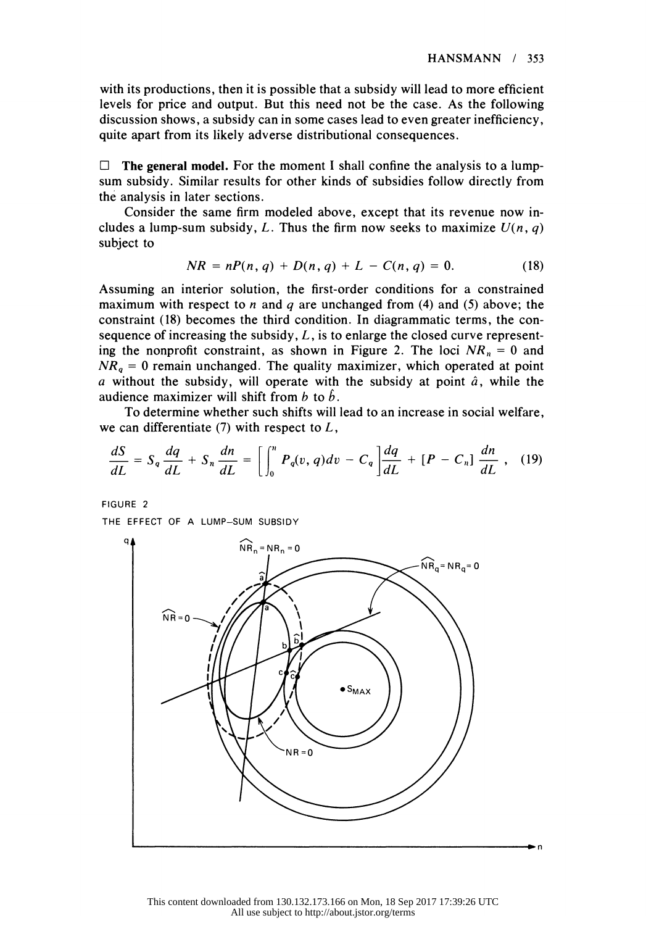with its productions, then it is possible that a subsidy will lead to more efficient levels for price and output. But this need not be the case. As the following discussion shows, a subsidy can in some cases lead to even greater inefficiency, quite apart from its likely adverse distributional consequences.

 $\Box$  The general model. For the moment I shall confine the analysis to a lump sum subsidy. Similar results for other kinds of subsidies follow directly from the analysis in later sections.

Consider the same firm modeled above, except that its revenue now includes a lump-sum subsidy, L. Thus the firm now seeks to maximize  $U(n, q)$ subject to

$$
NR = nP(n, q) + D(n, q) + L - C(n, q) = 0.
$$
 (18)

 Assuming an interior solution, the first-order conditions for a constrained maximum with respect to n and q are unchanged from (4) and (5) above; the constraint (18) becomes the third condition. In diagrammatic terms, the consequence of increasing the subsidy,  $L$ , is to enlarge the closed curve representing the nonprofit constraint, as shown in Figure 2. The loci  $NR_n = 0$  and  $NR<sub>q</sub> = 0$  remain unchanged. The quality maximizer, which operated at point a without the subsidy, will operate with the subsidy at point  $\hat{a}$ , while the audience maximizer will shift from  $b$  to  $\hat{b}$ .

 To determine whether such shifts will lead to an increase in social welfare, we can differentiate  $(7)$  with respect to  $L$ ,

$$
\frac{dS}{dL}=S_q\frac{dq}{dL}+S_n\frac{dn}{dL}=\left[\int_0^nP_q(v,q)dv-C_q\right]\frac{dq}{dL}+[P-C_n]\frac{dn}{dL},\quad (19)
$$

FIGURE 2

THE EFFECT OF A LUMP-SUM SUBSIDY

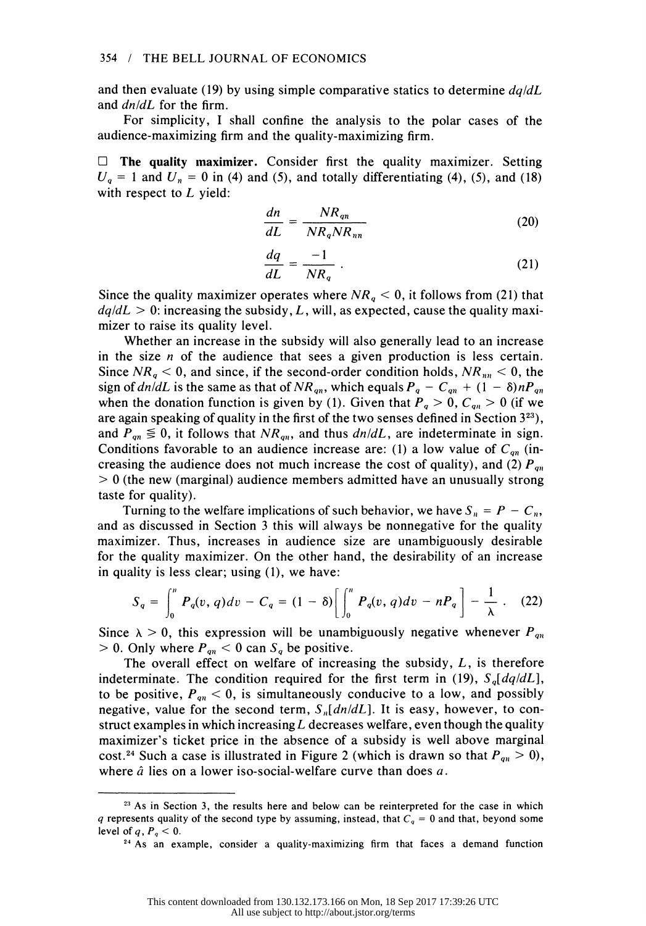and then evaluate (19) by using simple comparative statics to determine  $da/dL$ and  $dn/dL$  for the firm.

 For simplicity, I shall confine the analysis to the polar cases of the audience-maximizing firm and the quality-maximizing firm.

 $\Box$  The quality maximizer. Consider first the quality maximizer. Setting  $U_q = 1$  and  $U_n = 0$  in (4) and (5), and totally differentiating (4), (5), and (18) with respect to  $L$  yield:

$$
\frac{dn}{dL} = \frac{NR_{qn}}{NR_{q}NR_{nn}}\tag{20}
$$

$$
\frac{dq}{dL} = \frac{-1}{NR_q} \tag{21}
$$

Since the quality maximizer operates where  $NR_{q} < 0$ , it follows from (21) that  $dq/dL > 0$ : increasing the subsidy, L, will, as expected, cause the quality maximizer to raise its quality level.

 Whether an increase in the subsidy will also generally lead to an increase in the size  $n$  of the audience that sees a given production is less certain. Since  $NR_a < 0$ , and since, if the second-order condition holds,  $NR_{nn} < 0$ , the sign of *aniaL* is the same as that of  $N_{\text{R}}$ , which equals  $P_q - C_{qn} + (1 - \delta)nP_{qn}$ when the donation function is given by (1). Given that  $P_q > 0$ ,  $C_{qn} > 0$  (if we are again speaking of quality in the first of the two senses defined in Section  $3^{23}$ ), and  $P_{qn} \leq 0$ , it follows that  $NR_{qn}$ , and thus  $dn/dL$ , are indeterminate in sign. Conditions favorable to an audience increase are: (1) a low value of  $C_{\alpha n}$  (increasing the audience does not much increase the cost of quality), and (2)  $P_{qu}$  $> 0$  (the new (marginal) audience members admitted have an unusually strong taste for quality).

Turning to the welfare implications of such behavior, we have  $S_n = P - C_n$ , and as discussed in Section 3 this will always be nonnegative for the quality maximizer. Thus, increases in audience size are unambiguously desirable for the quality maximizer. On the other hand, the desirability of an increase in quality is less clear; using (1), we have:

$$
S_q = \int_0^u P_q(v, q) dv - C_q = (1 - \delta) \left[ \int_0^u P_q(v, q) dv - n P_q \right] - \frac{1}{\lambda} \,. \tag{22}
$$

Since  $\lambda > 0$ , this expression will be unambiguously negative whenever  $P_{qn}$  $> 0$ . Only where  $P_{qn} < 0$  can  $S_q$  be positive.

The overall effect on welfare of increasing the subsidy,  $L$ , is therefore indeterminate. The condition required for the first term in (19),  $S_q[dq/dL]$ , to be positive,  $P_{qn} < 0$ , is simultaneously conducive to a low, and possibly negative, value for the second term,  $S_n[dn/dL]$ . It is easy, however, to construct examples in which increasing  $L$  decreases welfare, even though the quality maximizer's ticket price in the absence of a subsidy is well above marginal cost.<sup>24</sup> Such a case is illustrated in Figure 2 (which is drawn so that  $P_{qn} > 0$ ), where  $\hat{a}$  lies on a lower iso-social-welfare curve than does  $a$ .

<sup>&</sup>lt;sup>23</sup> As in Section 3, the results here and below can be reinterpreted for the case in which q represents quality of the second type by assuming, instead, that  $C<sub>q</sub> = 0$  and that, beyond some level of q,  $P_q < 0$ .

<sup>&</sup>lt;sup>24</sup> As an example, consider a quality-maximizing firm that faces a demand function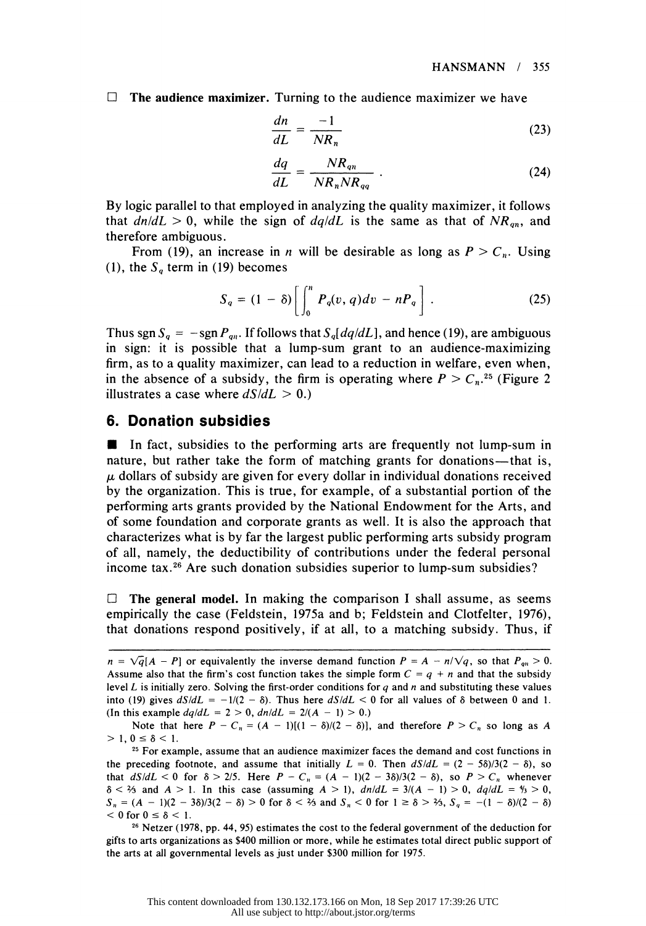#### $\Box$  The audience maximizer. Turning to the audience maximizer we have

$$
\frac{dn}{dL} = \frac{-1}{NR_n} \tag{23}
$$

$$
\frac{dq}{dL} = \frac{NR_{qn}}{NR_n NR_{aa}} \tag{24}
$$

 By logic parallel to that employed in analyzing the quality maximizer, it follows that  $dn/dL > 0$ , while the sign of  $dq/dL$  is the same as that of  $NR_{qn}$ , and therefore ambiguous.

From (19), an increase in *n* will be desirable as long as  $P > C_n$ . Using (1), the  $S<sub>a</sub>$  term in (19) becomes

$$
S_q = (1 - \delta) \left[ \int_0^n P_q(v, q) dv - n P_q \right]. \tag{25}
$$

Thus sgn  $S_q = -sgn P_{qn}$ . If follows that  $S_q[dq/dL]$ , and hence (19), are ambiguous in sign: it is possible that a lump-sum grant to an audience-maximizing firm, as to a quality maximizer, can lead to a reduction in welfare, even when, in the absence of a subsidy, the firm is operating where  $P > C_n$ .<sup>25</sup> (Figure 2) illustrates a case where  $dS/dL > 0.$ )

#### 6. Donation subsidies

In fact, subsidies to the performing arts are frequently not lump-sum in nature, but rather take the form of matching grants for donations—that is,  $\mu$  dollars of subsidy are given for every dollar in individual donations received by the organization. This is true, for example, of a substantial portion of the performing arts grants provided by the National Endowment for the Arts, and of some foundation and corporate grants as well. It is also the approach that characterizes what is by far the largest public performing arts subsidy program of all, namely, the deductibility of contributions under the federal personal income tax.26 Are such donation subsidies superior to lump-sum subsidies?

 $\Box$  The general model. In making the comparison I shall assume, as seems empirically the case (Feldstein, 1975a and b; Feldstein and Clotfelter, 1976), that donations respond positively, if at all, to a matching subsidy. Thus, if

<sup>25</sup> For example, assume that an audience maximizer faces the demand and cost functions in the preceding footnote, and assume that initially  $L = 0$ . Then  $dS/dL = (2 - 5\delta)/3(2 - \delta)$ , so that  $dS/dL < 0$  for  $\delta > 2/5$ . Here  $P - C_n = (A - 1)(2 - 3\delta)/3(2 - \delta)$ , so  $P > C_n$  whenever  $8 < 2/3$  and  $A > 1$ . In this case (assuming  $A > 1$ ),  $dn/dL = 3/(A - 1) > 0$ ,  $dq/dL = 1/3 > 0$ ,  $S_n = (A - 1)(2 - 3\delta)/3(2 - \delta) > 0$  for  $\delta < 2/3$  and  $S_n < 0$  for  $1 \ge \delta > 2/3$ ,  $S_n = -(1 - \delta)/(2 - \delta)$  $< 0$  for  $0 \leq \delta < 1$ .

 26 Netzer (1978, pp. 44, 95) estimates the cost to the federal government of the deduction for gifts to arts organizations as \$400 million or more, while he estimates total direct public support of the arts at all governmental levels as just under \$300 million for 1975.

 $n = \sqrt{q}[A - P]$  or equivalently the inverse demand function  $P = A - n/\sqrt{q}$ , so that  $P_{qn} > 0$ . Assume also that the firm's cost function takes the simple form  $C = q + n$  and that the subsidy level L is initially zero. Solving the first-order conditions for  $q$  and  $n$  and substituting these values into (19) gives  $dS/dL = -1/(2 - \delta)$ . Thus here  $dS/dL < 0$  for all values of  $\delta$  between 0 and 1. (In this example  $dq/dL = 2 > 0$ ,  $dn/dL = 2/(A - 1) > 0$ .)

Note that here  $P - C_n = (A - 1)[(1 - \delta)/(2 - \delta)]$ , and therefore  $P > C_n$  so long as A  $> 1, 0 \leq \delta < 1.$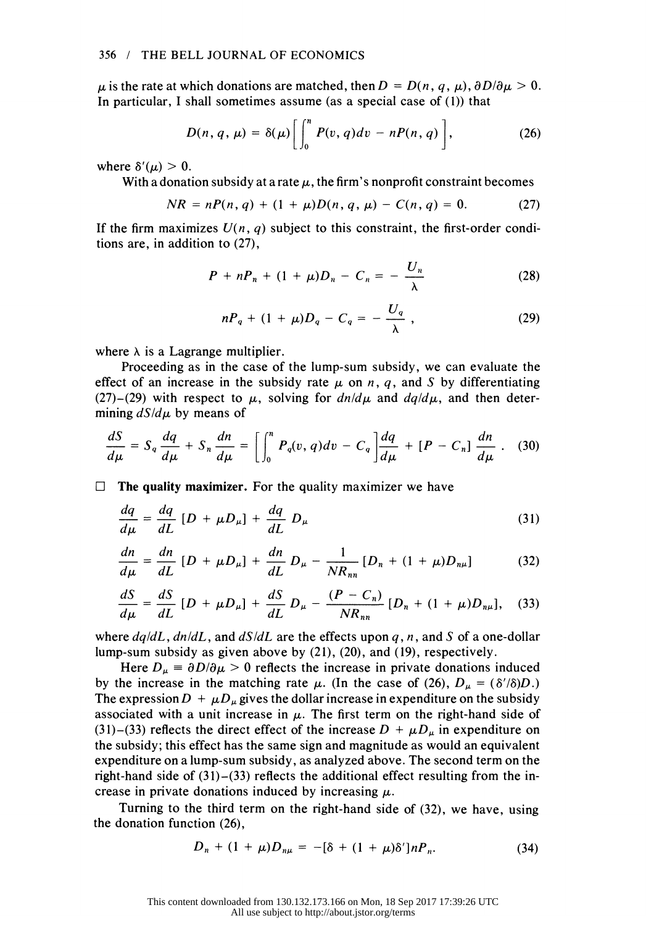$\mu$  is the rate at which donations are matched, then  $D = D(n, q, \mu)$ ,  $\partial D/\partial \mu > 0$ . In particular, I shall sometimes assume (as a special case of (1)) that

$$
D(n, q, \mu) = \delta(\mu) \left[ \int_0^n P(v, q) dv - nP(n, q) \right], \qquad (26)
$$

where  $\delta'(\mu) > 0$ .

With a donation subsidy at a rate  $\mu$ , the firm's nonprofit constraint becomes

$$
NR = nP(n, q) + (1 + \mu)D(n, q, \mu) - C(n, q) = 0. \qquad (27)
$$

If the firm maximizes  $U(n, q)$  subject to this constraint, the first-order conditions are, in addition to (27),

$$
P + nP_n + (1 + \mu)D_n - C_n = -\frac{U_n}{\lambda}
$$
 (28)

$$
nP_q + (1 + \mu)D_q - C_q = -\frac{U_q}{\lambda} \,, \tag{29}
$$

where  $\lambda$  is a Lagrange multiplier.

 Proceeding as in the case of the lump-sum subsidy, we can evaluate the effect of an increase in the subsidy rate  $\mu$  on n, q, and S by differentiating (27)-(29) with respect to  $\mu$ , solving for  $dn/d\mu$  and  $dq/d\mu$ , and then determining  $dS/d\mu$  by means of

$$
\frac{dS}{d\mu}=S_q\frac{dq}{d\mu}+S_n\frac{dn}{d\mu}=\bigg[\int_0^nP_q(v,q)dv-C_q\bigg]\frac{dq}{d\mu}+[P-C_n]\frac{dn}{d\mu}.\quad(30)
$$

 $\Box$  The quality maximizer. For the quality maximizer we have

$$
\frac{dq}{d\mu} = \frac{dq}{dL} \left[ D + \mu D_{\mu} \right] + \frac{dq}{dL} D_{\mu} \tag{31}
$$

$$
\frac{dn}{d\mu} = \frac{dn}{dL} [D + \mu D_{\mu}] + \frac{dn}{dL} D_{\mu} - \frac{1}{NR_{nn}} [D_{n} + (1 + \mu)D_{n\mu}]
$$
(32)

$$
\frac{dS}{d\mu} = \frac{dS}{dL} [D + \mu D_{\mu}] + \frac{dS}{dL} D_{\mu} - \frac{(P - C_n)}{N R_{nn}} [D_n + (1 + \mu) D_{n\mu}], \quad (33)
$$

where  $dq/dL$ ,  $dn/dL$ , and  $dS/dL$  are the effects upon q, n, and S of a one-dollar lump-sum subsidy as given above by (21), (20), and (19), respectively.

Here  $D_{\mu} \equiv \partial D/\partial \mu > 0$  reflects the increase in private donations induced by the increase in the matching rate  $\mu$ . (In the case of (26),  $D_{\mu} = (\delta'/\delta)D$ .) The expression  $D + \mu D_u$  gives the dollar increase in expenditure on the subsidy associated with a unit increase in  $\mu$ . The first term on the right-hand side of (31)–(33) reflects the direct effect of the increase  $D + \mu D_\mu$  in expenditure on the subsidy; this effect has the same sign and magnitude as would an equivalent expenditure on a lump-sum subsidy, as analyzed above. The second term on the right-hand side of  $(31)-(33)$  reflects the additional effect resulting from the increase in private donations induced by increasing  $\mu$ .

Turning to the third term on the right-hand side of (32), we have, using<br>longition function (26) Turning to the third term on the right-hand side of  $(32)$ , we have<br>the donation function  $(26)$ ,

$$
D_n + (1 + \mu)D_{n\mu} = -[\delta + (1 + \mu)\delta']nP_n.
$$
 (34)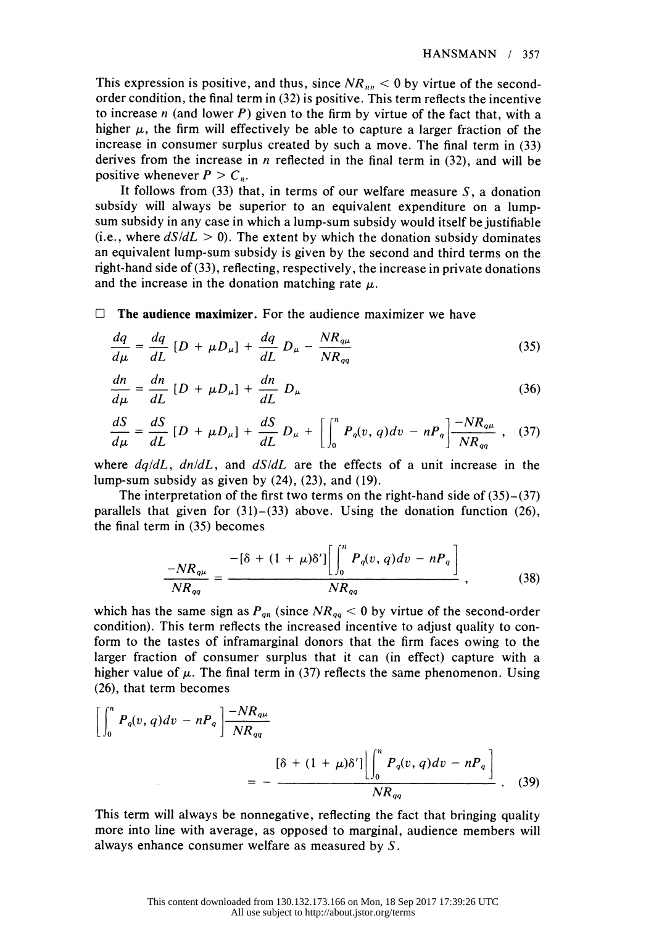This expression is positive, and thus, since  $NR_{nn} < 0$  by virtue of the second order condition, the final term in (32) is positive. This term reflects the incentive to increase *n* (and lower P) given to the firm by virtue of the fact that, with a higher  $\mu$ , the firm will effectively be able to capture a larger fraction of the increase in consumer surplus created by such a move. The final term in (33) derives from the increase in  $n$  reflected in the final term in (32), and will be positive whenever  $P > C_n$ .

It follows from  $(33)$  that, in terms of our welfare measure S, a donation subsidy will always be superior to an equivalent expenditure on a lump sum subsidy in any case in which a lump-sum subsidy would itself be justifiable (i.e., where  $dS/dL > 0$ ). The extent by which the donation subsidy dominates an equivalent lump-sum subsidy is given by the second and third terms on the right-hand side of (33), reflecting, respectively, the increase in private donations and the increase in the donation matching rate  $\mu$ .

 $\Box$  The audience maximizer. For the audience maximizer we have

$$
\frac{dq}{d\mu} = \frac{dq}{dL} \left[ D + \mu D_{\mu} \right] + \frac{dq}{dL} D_{\mu} - \frac{NR_{q\mu}}{NR_{qq}} \tag{35}
$$

$$
\frac{dn}{d\mu} = \frac{dn}{dL} \left[ D + \mu D_{\mu} \right] + \frac{dn}{dL} D_{\mu}
$$
\n(36)

$$
\frac{dS}{d\mu}=\frac{dS}{dL}\left[D+\mu D_{\mu}\right]+\frac{dS}{dL}D_{\mu}+\left[\int_{0}^{n}P_{q}(v,q)dv-nP_{q}\right]\frac{-NR_{q\mu}}{NR_{qq}}\,,\quad(37)
$$

where  $dq/dL$ ,  $dn/dL$ , and  $dS/dL$  are the effects of a unit increase in the lump-sum subsidy as given by (24), (23), and (19).

The interpretation of the first two terms on the right-hand side of  $(35)$ – $(37)$ parallels that given for  $(31)-(33)$  above. Using the donation function  $(26)$ , the final term in (35) becomes

$$
\frac{-NR_{q\mu}}{NR_{qq}} = \frac{-[\delta + (1+\mu)\delta'] \bigg[ \int_0^R P_q(v, q) dv - nP_q \bigg]}{NR_{qq}}, \qquad (38)
$$

which has the same sign as  $P_{qn}$  (since  $NR_{qq} < 0$  by virtue of the second-order condition). This term reflects the increased incentive to adjust quality to con form to the tastes of inframarginal donors that the firm faces owing to the larger fraction of consumer surplus that it can (in effect) capture with a higher value of  $\mu$ . The final term in (37) reflects the same phenomenon. Using (26), that term becomes

$$
\left[\int_0^n P_q(v,q)dv - nP_q\right] \frac{-NR_{q\mu}}{NR_{qq}}
$$
  
= 
$$
-\frac{\left[\delta + (1+\mu)\delta'\right]\left[\int_0^n P_q(v,q)dv - nP_q\right]}{NR_{qq}}.
$$
 (39)

 This term will always be nonnegative, reflecting the fact that bringing quality more into line with average, as opposed to marginal, audience members will always enhance consumer welfare as measured by S.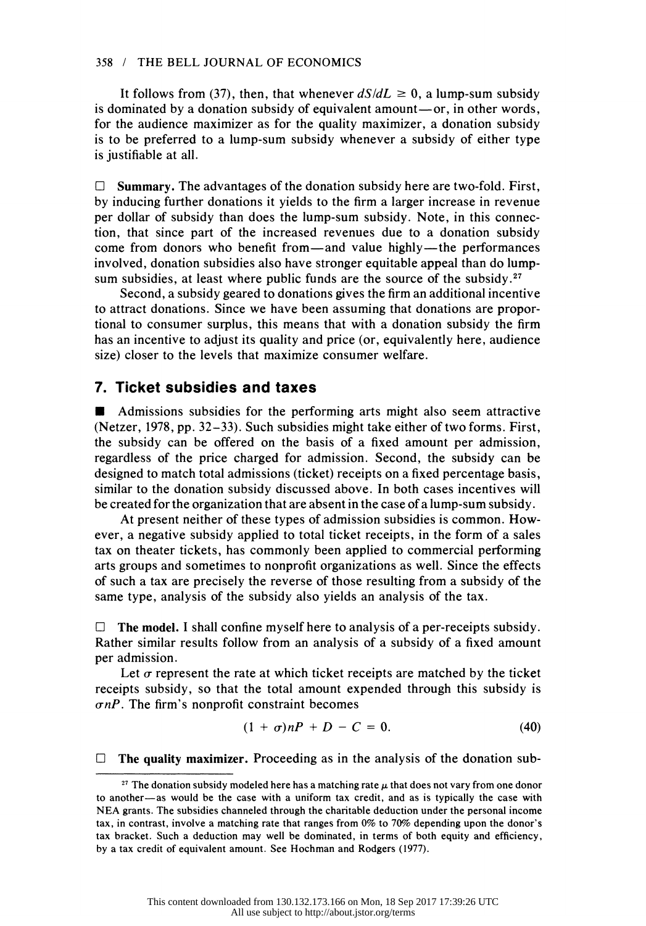#### 358 / THE BELL JOURNAL OF ECONOMICS

It follows from (37), then, that whenever  $dS/dL \ge 0$ , a lump-sum subsidy is dominated by a donation subsidy of equivalent amount—or, in other words, for the audience maximizer as for the quality maximizer, a donation subsidy is to be preferred to a lump-sum subsidy whenever a subsidy of either type is justifiable at all.

 $\Box$  Summary. The advantages of the donation subsidy here are two-fold. First, by inducing further donations it yields to the firm a larger increase in revenue per dollar of subsidy than does the lump-sum subsidy. Note, in this connec tion, that since part of the increased revenues due to a donation subsidy come from donors who benefit from—and value highly—the performances involved, donation subsidies also have stronger equitable appeal than do lump sum subsidies, at least where public funds are the source of the subsidy.<sup>27</sup>

 Second, a subsidy geared to donations gives the firm an additional incentive to attract donations. Since we have been assuming that donations are propor? tional to consumer surplus, this means that with a donation subsidy the firm has an incentive to adjust its quality and price (or, equivalently here, audience size) closer to the levels that maximize consumer welfare.

## 7. Ticket subsidies and taxes

 ? Admissions subsidies for the performing arts might also seem attractive (Netzer, 1978, pp. 32-33). Such subsidies might take either of two forms. First, the subsidy can be offered on the basis of a fixed amount per admission, regardless of the price charged for admission. Second, the subsidy can be designed to match total admissions (ticket) receipts on a fixed percentage basis, similar to the donation subsidy discussed above. In both cases incentives will be created for the organization that are absent in the case of a lump-sum subsidy.

At present neither of these types of admission subsidies is common. How ever, a negative subsidy applied to total ticket receipts, in the form of a sales tax on theater tickets, has commonly been applied to commercial performing arts groups and sometimes to nonprofit organizations as well. Since the effects of such a tax are precisely the reverse of those resulting from a subsidy of the same type, analysis of the subsidy also yields an analysis of the tax.

 $\Box$  The model. I shall confine myself here to analysis of a per-receipts subsidy. Rather similar results follow from an analysis of a subsidy of a fixed amount per admission.

Let  $\sigma$  represent the rate at which ticket receipts are matched by the ticket receipts subsidy, so that the total amount expended through this subsidy is  $\sigma nP$ . The firm's nonprofit constraint becomes

$$
(1 + \sigma)nP + D - C = 0. \tag{40}
$$

 $\Box$  The quality maximizer. Proceeding as in the analysis of the donation sub-

<sup>&</sup>lt;sup>27</sup> The donation subsidy modeled here has a matching rate  $\mu$  that does not vary from one donor to another—as would be the case with a uniform tax credit, and as is typically the case with NEA grants. The subsidies channeled through the charitable deduction under the personal income tax, in contrast, involve a matching rate that ranges from 0% to 70% depending upon the donor's tax bracket. Such a deduction may well be dominated, in terms of both equity and efficiency, by a tax credit of equivalent amount. See Hochman and Rodgers (1977).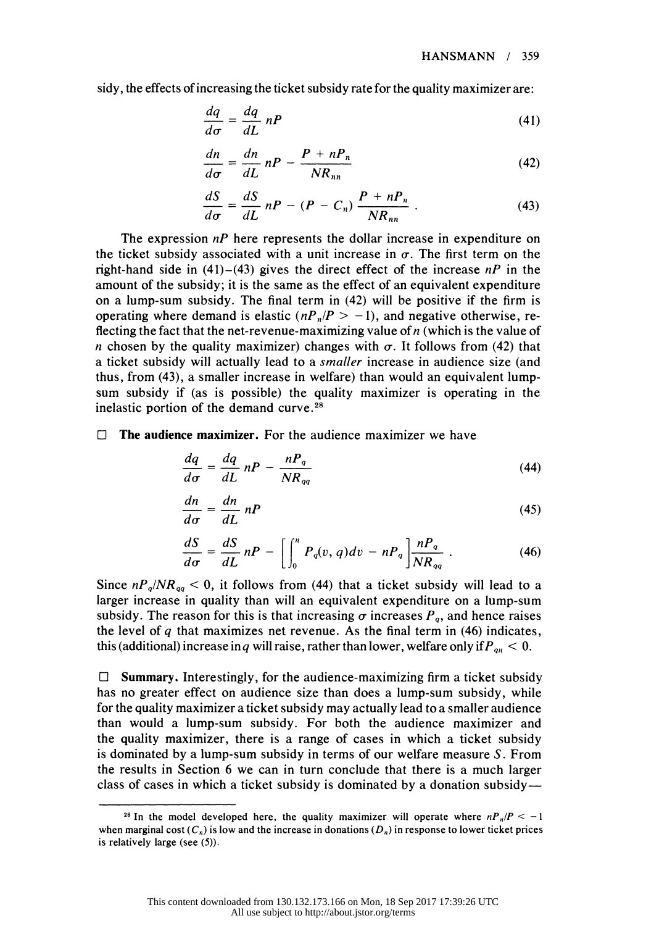sidy, the effects of increasing the ticket subsidy rate for the quality maximizer are:

$$
\frac{dq}{d\sigma} = \frac{dq}{dL} nP
$$
 (41)

$$
\frac{dn}{d\sigma} = \frac{dn}{dL}nP - \frac{P + nP_n}{NR_{nn}}
$$
(42)

$$
\frac{dS}{d\sigma} = \frac{dS}{dL}nP - (P - C_n)\frac{P + nP_n}{NR_{nn}}\,. \tag{43}
$$

The expression  $nP$  here represents the dollar increase in expenditure on the ticket subsidy associated with a unit increase in  $\sigma$ . The first term on the right-hand side in (41)–(43) gives the direct effect of the increase  $nP$  in the amount of the subsidy; it is the same as the effect of an equivalent expenditure on a lump-sum subsidy. The final term in (42) will be positive if the firm is operating where demand is elastic  $(nP_n/P > -1)$ , and negative otherwise, reflecting the fact that the net-revenue-maximizing value of  $n$  (which is the value of *n* chosen by the quality maximizer) changes with  $\sigma$ . It follows from (42) that a ticket subsidy will actually lead to a smaller increase in audience size (and thus, from (43), a smaller increase in welfare) than would an equivalent lump sum subsidy if (as is possible) the quality maximizer is operating in the inelastic portion of the demand curve.<sup>28</sup>

#### $\Box$  The audience maximizer. For the audience maximizer we have

$$
\frac{dq}{d\sigma} = \frac{dq}{dL} nP - \frac{nP_q}{NR_{qq}} \tag{44}
$$

$$
\frac{dn}{d\sigma} = \frac{dn}{dL} nP \tag{45}
$$

$$
\frac{dS}{d\sigma} = \frac{dS}{dL}nP - \left[ \int_0^n P_q(v,q)dv - nP_q \right] \frac{nP_q}{NR_{qq}}.
$$
\n(46)

Since  $nP_q/NR_{qq} < 0$ , it follows from (44) that a ticket subsidy will lead to a larger increase in quality than will an equivalent expenditure on a lump-sum subsidy. The reason for this is that increasing  $\sigma$  increases  $P_q$ , and hence raises the level of  $q$  that maximizes net revenue. As the final term in (46) indicates, this (additional) increase in q will raise, rather than lower, welfare only if  $P_{qn} < 0$ .

 $\Box$  Summary. Interestingly, for the audience-maximizing firm a ticket subsidy has no greater effect on audience size than does a lump-sum subsidy, while for the quality maximizer a ticket subsidy may actually lead to a smaller audience than would a lump-sum subsidy. For both the audience maximizer and the quality maximizer, there is a range of cases in which a ticket subsidy is dominated by a lump-sum subsidy in terms of our welfare measure S. From the results in Section 6 we can in turn conclude that there is a much larger class of cases in which a ticket subsidy is dominated by a donation subsidy—

<sup>&</sup>lt;sup>28</sup> In the model developed here, the quality maximizer will operate where  $nP_n/P < -1$ when marginal cost  $(C_n)$  is low and the increase in donations  $(D_n)$  in response to lower ticket prices is relatively large (see (5)).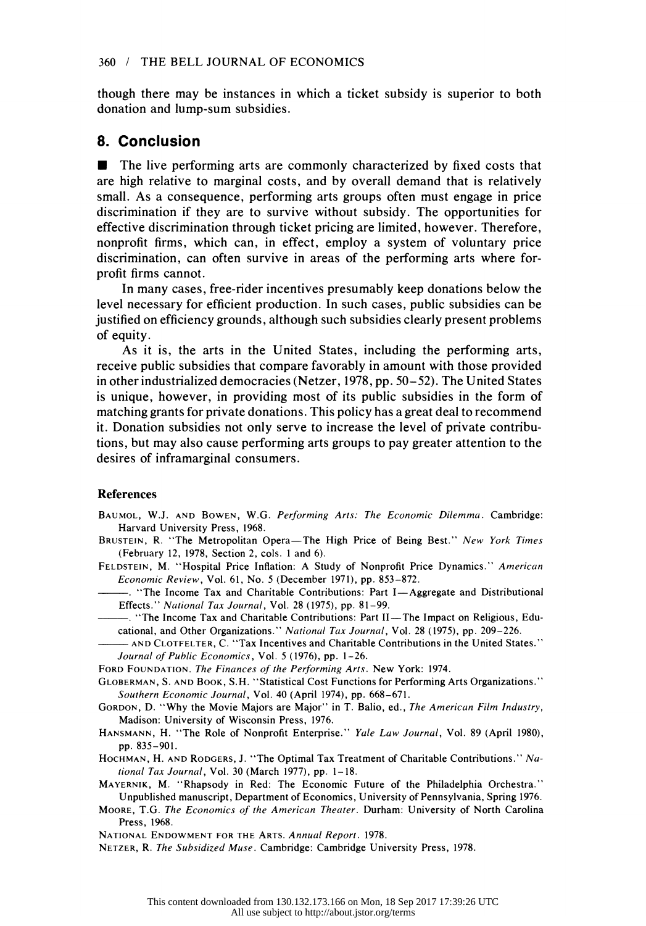though there may be instances in which a ticket subsidy is superior to both donation and lump-sum subsidies.

## 8. Conclusion

The live performing arts are commonly characterized by fixed costs that are high relative to marginal costs, and by overall demand that is relatively small. As a consequence, performing arts groups often must engage in price discrimination if they are to survive without subsidy. The opportunities for effective discrimination through ticket pricing are limited, however. Therefore, nonprofit firms, which can, in effect, employ a system of voluntary price discrimination, can often survive in areas of the performing arts where for profit firms cannot.

 In many cases, free-rider incentives presumably keep donations below the level necessary for efficient production. In such cases, public subsidies can be justified on efficiency grounds, although such subsidies clearly present problems of equity.

 As it is, the arts in the United States, including the performing arts, receive public subsidies that compare favorably in amount with those provided in other industrialized democracies (Netzer, 1978, pp. 50-52). The United States is unique, however, in providing most of its public subsidies in the form of matching grants for private donations. This policy has a great deal to recommend it. Donation subsidies not only serve to increase the level of private contribu? tions, but may also cause performing arts groups to pay greater attention to the desires of inframarginal consumers.

#### References

- Baumol, W.J. and Bowen, W.G. Performing Arts: The Economic Dilemma. Cambridge: Harvard University Press, 1968.
- BRUSTEIN, R. "The Metropolitan Opera—The High Price of Being Best." New York Times (February 12, 1978, Section 2, cols. 1 and 6).
- FELDSTEIN, M. "Hospital Price Inflation: A Study of Nonprofit Price Dynamics." American Economic Review, Vol. 61, No. 5 (December 1971), pp. 853-872.
- $-$ . "The Income Tax and Charitable Contributions: Part I $-A$ ggregate and Distributional Effects." National Tax Journal, Vol. 28 (1975), pp. 81-99.
- $-$ . "The Income Tax and Charitable Contributions: Part II—The Impact on Religious, Educational, and Other Organizations." National Tax Journal, Vol. 28 (1975), pp. 209-226.

- AND CLOTFELTER, C. "Tax Incentives and Charitable Contributions in the United States." Journal of Public Economics, Vol. 5 (1976), pp. 1-26.

Ford Foundation. The Finances of the Performing Arts. New York: 1974.

- Globerman, S. and Book, S.H. "Statistical Cost Functions for Performing Arts Organizations." Southern Economic Journal, Vol. 40 (April 1974), pp. 668-671.
- GORDON, D. "Why the Movie Majors are Major" in T. Balio, ed., The American Film Industry, Madison: University of Wisconsin Press, 1976.
- Hansmann, H. "The Role of Nonprofit Enterprise." Yale Law Journal, Vol. 89 (April 1980), pp. 835-901.
- HOCHMAN, H. AND RODGERS, J. "The Optimal Tax Treatment of Charitable Contributions." National Tax Journal, Vol. 30 (March 1977), pp. 1-18.
- Mayernik, M. "Rhapsody in Red: The Economic Future of the Philadelphia Orchestra." Unpublished manuscript, Department of Economics, University of Pennsylvania, Spring 1976.
- Moore, T.G. The Economics of the American Theater. Durham: University of North Carolina Press, 1968.
- National Endowment for the Arts. Annual Report. 1978.
- Netzer, R. The Subsidized Muse. Cambridge: Cambridge University Press, 1978.